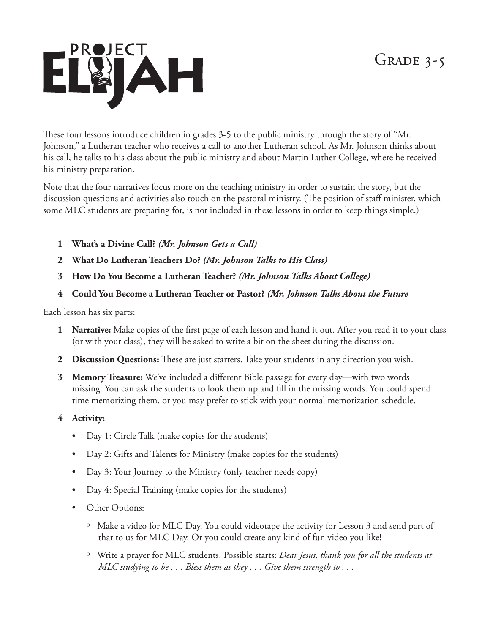## GRADE  $3-5$



These four lessons introduce children in grades 3-5 to the public ministry through the story of "Mr. Johnson," a Lutheran teacher who receives a call to another Lutheran school. As Mr. Johnson thinks about his call, he talks to his class about the public ministry and about Martin Luther College, where he received his ministry preparation.

Note that the four narratives focus more on the teaching ministry in order to sustain the story, but the discussion questions and activities also touch on the pastoral ministry. (The position of staff minister, which some MLC students are preparing for, is not included in these lessons in order to keep things simple.)

- **1 What's a Divine Call?** *(Mr. Johnson Gets a Call)*
- **2 What Do Lutheran Teachers Do?** *(Mr. Johnson Talks to His Class)*
- **3 How Do You Become a Lutheran Teacher?** *(Mr. Johnson Talks About College)*
- **4 Could You Become a Lutheran Teacher or Pastor?** *(Mr. Johnson Talks About the Future*

Each lesson has six parts:

- **1 Narrative:** Make copies of the first page of each lesson and hand it out. After you read it to your class (or with your class), they will be asked to write a bit on the sheet during the discussion.
- **2 Discussion Questions:** These are just starters. Take your students in any direction you wish.
- **3 Memory Treasure:** We've included a different Bible passage for every day—with two words missing. You can ask the students to look them up and fill in the missing words. You could spend time memorizing them, or you may prefer to stick with your normal memorization schedule.
- **4 Activity:** 
	- Day 1: Circle Talk (make copies for the students)
	- Day 2: Gifts and Talents for Ministry (make copies for the students)
	- Day 3: Your Journey to the Ministry (only teacher needs copy)
	- Day 4: Special Training (make copies for the students)
	- Other Options:
		- º Make a video for MLC Day. You could videotape the activity for Lesson 3 and send part of that to us for MLC Day. Or you could create any kind of fun video you like!
		- º Write a prayer for MLC students. Possible starts: *Dear Jesus, thank you for all the students at MLC studying to be . . . Bless them as they . . . Give them strength to . . .*